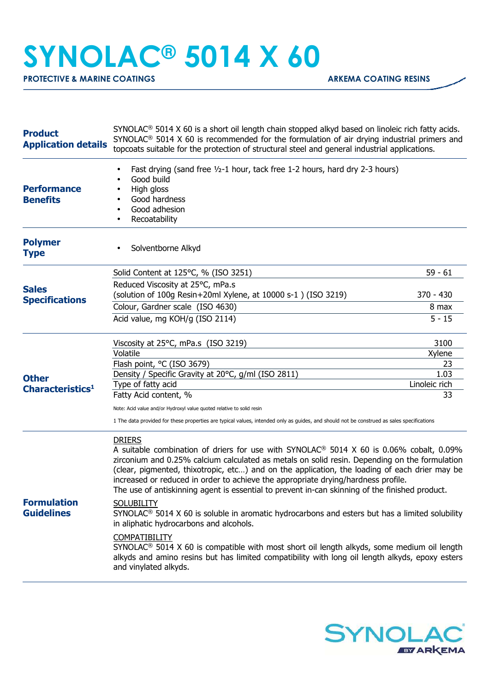## **SYNOLAC® 5014 X 60**

**PROTECTIVE & MARINE COATINGS ARKEMA COATING RESINS** 

| <b>Product</b><br><b>Application details</b> | $SYNOLAC®$ 5014 X 60 is a short oil length chain stopped alkyd based on linoleic rich fatty acids.<br>$SYNOLAC®$ 5014 X 60 is recommended for the formulation of air drying industrial primers and<br>topcoats suitable for the protection of structural steel and general industrial applications.                                                                                                                                                                                                                                                                                                                                                                                                                                                                                                                                                                                                                                                       |               |
|----------------------------------------------|-----------------------------------------------------------------------------------------------------------------------------------------------------------------------------------------------------------------------------------------------------------------------------------------------------------------------------------------------------------------------------------------------------------------------------------------------------------------------------------------------------------------------------------------------------------------------------------------------------------------------------------------------------------------------------------------------------------------------------------------------------------------------------------------------------------------------------------------------------------------------------------------------------------------------------------------------------------|---------------|
| <b>Performance</b><br><b>Benefits</b>        | Fast drying (sand free 1/2-1 hour, tack free 1-2 hours, hard dry 2-3 hours)<br>Good build<br>High gloss<br>Good hardness<br>Good adhesion<br>Recoatability                                                                                                                                                                                                                                                                                                                                                                                                                                                                                                                                                                                                                                                                                                                                                                                                |               |
| <b>Polymer</b><br><b>Type</b>                | Solventborne Alkyd                                                                                                                                                                                                                                                                                                                                                                                                                                                                                                                                                                                                                                                                                                                                                                                                                                                                                                                                        |               |
| <b>Sales</b><br><b>Specifications</b>        | Solid Content at 125°C, % (ISO 3251)                                                                                                                                                                                                                                                                                                                                                                                                                                                                                                                                                                                                                                                                                                                                                                                                                                                                                                                      | $59 - 61$     |
|                                              | Reduced Viscosity at 25°C, mPa.s<br>(solution of 100g Resin+20ml Xylene, at 10000 s-1) (ISO 3219)                                                                                                                                                                                                                                                                                                                                                                                                                                                                                                                                                                                                                                                                                                                                                                                                                                                         | $370 - 430$   |
|                                              | Colour, Gardner scale (ISO 4630)                                                                                                                                                                                                                                                                                                                                                                                                                                                                                                                                                                                                                                                                                                                                                                                                                                                                                                                          | 8 max         |
|                                              | Acid value, mg KOH/g (ISO 2114)                                                                                                                                                                                                                                                                                                                                                                                                                                                                                                                                                                                                                                                                                                                                                                                                                                                                                                                           | $5 - 15$      |
|                                              | Viscosity at 25°C, mPa.s (ISO 3219)                                                                                                                                                                                                                                                                                                                                                                                                                                                                                                                                                                                                                                                                                                                                                                                                                                                                                                                       | 3100          |
|                                              | Volatile                                                                                                                                                                                                                                                                                                                                                                                                                                                                                                                                                                                                                                                                                                                                                                                                                                                                                                                                                  | Xylene        |
|                                              | Flash point, °C (ISO 3679)<br>Density / Specific Gravity at 20°C, g/ml (ISO 2811)                                                                                                                                                                                                                                                                                                                                                                                                                                                                                                                                                                                                                                                                                                                                                                                                                                                                         | 23<br>1.03    |
| <b>Other</b>                                 | Type of fatty acid                                                                                                                                                                                                                                                                                                                                                                                                                                                                                                                                                                                                                                                                                                                                                                                                                                                                                                                                        | Linoleic rich |
| Characteristics <sup>1</sup>                 | Fatty Acid content, %                                                                                                                                                                                                                                                                                                                                                                                                                                                                                                                                                                                                                                                                                                                                                                                                                                                                                                                                     | 33            |
|                                              | Note: Acid value and/or Hydroxyl value quoted relative to solid resin                                                                                                                                                                                                                                                                                                                                                                                                                                                                                                                                                                                                                                                                                                                                                                                                                                                                                     |               |
|                                              | 1 The data provided for these properties are typical values, intended only as guides, and should not be construed as sales specifications                                                                                                                                                                                                                                                                                                                                                                                                                                                                                                                                                                                                                                                                                                                                                                                                                 |               |
| <b>Formulation</b><br><b>Guidelines</b>      | <b>DRIERS</b><br>A suitable combination of driers for use with SYNOLAC <sup>®</sup> 5014 X 60 is 0.06% cobalt, 0.09%<br>zirconium and 0.25% calcium calculated as metals on solid resin. Depending on the formulation<br>(clear, pigmented, thixotropic, etc) and on the application, the loading of each drier may be<br>increased or reduced in order to achieve the appropriate drying/hardness profile.<br>The use of antiskinning agent is essential to prevent in-can skinning of the finished product.<br><b>SOLUBILITY</b><br>SYNOLAC <sup>®</sup> 5014 X 60 is soluble in aromatic hydrocarbons and esters but has a limited solubility<br>in aliphatic hydrocarbons and alcohols.<br><b>COMPATIBILITY</b><br>SYNOLAC <sup>®</sup> 5014 X 60 is compatible with most short oil length alkyds, some medium oil length<br>alkyds and amino resins but has limited compatibility with long oil length alkyds, epoxy esters<br>and vinylated alkyds. |               |